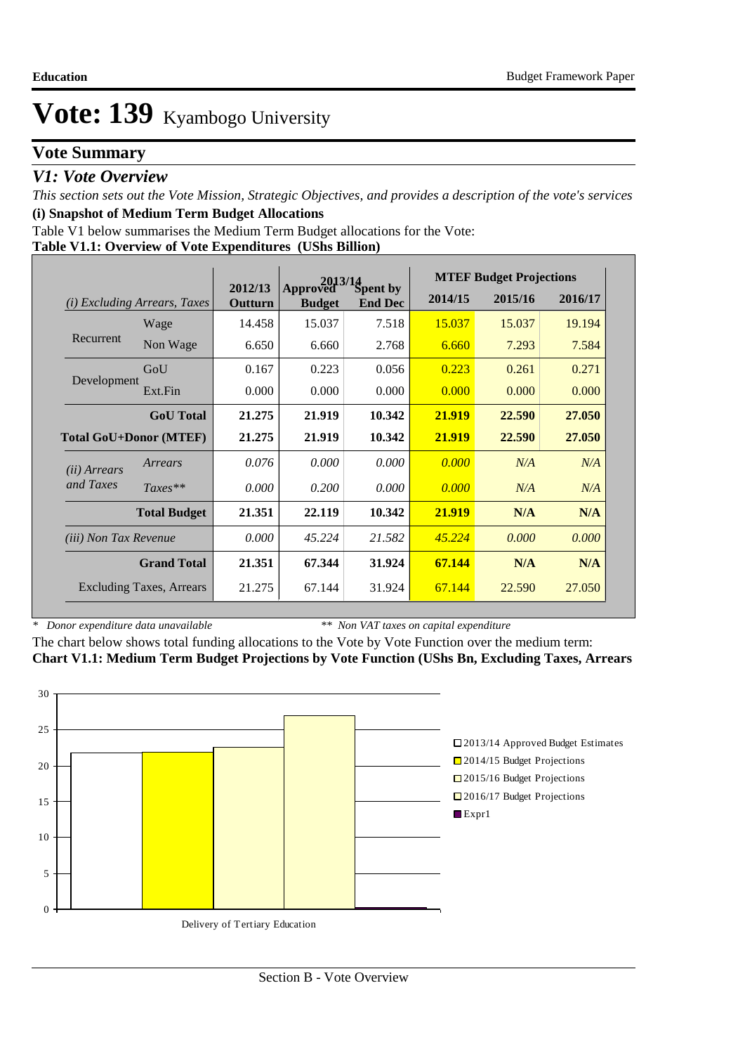# **Vote Summary**

## *V1: Vote Overview*

*This section sets out the Vote Mission, Strategic Objectives, and provides a description of the vote's services* **(i) Snapshot of Medium Term Budget Allocations** 

Table V1 below summarises the Medium Term Budget allocations for the Vote:

#### **Table V1.1: Overview of Vote Expenditures (UShs Billion)**

| <i>Excluding Arrears, Taxes</i><br>(i) |                                 |                    | 2013/14                   |                            |         | <b>MTEF Budget Projections</b> |         |
|----------------------------------------|---------------------------------|--------------------|---------------------------|----------------------------|---------|--------------------------------|---------|
|                                        |                                 | 2012/13<br>Outturn | Approved<br><b>Budget</b> | Spent by<br><b>End Dec</b> | 2014/15 | 2015/16                        | 2016/17 |
|                                        | Wage                            | 14.458             | 15.037                    | 7.518                      | 15.037  | 15.037                         | 19.194  |
| Recurrent                              | Non Wage                        | 6.650              | 6.660                     | 2.768                      | 6.660   | 7.293                          | 7.584   |
|                                        | GoU                             | 0.167              | 0.223                     | 0.056                      | 0.223   | 0.261                          | 0.271   |
| Development                            | Ext.Fin                         | 0.000              | 0.000                     | 0.000                      | 0.000   | 0.000                          | 0.000   |
|                                        | <b>GoU</b> Total                | 21.275             | 21.919                    | 10.342                     | 21.919  | 22.590                         | 27,050  |
|                                        | <b>Total GoU+Donor (MTEF)</b>   | 21.275             | 21.919                    | 10.342                     | 21.919  | 22.590                         | 27,050  |
| ( <i>ii</i> ) Arrears                  | Arrears                         | 0.076              | 0.000                     | 0.000                      | 0.000   | N/A                            | N/A     |
| and Taxes                              | $Taxes**$                       | 0.000              | 0.200                     | 0.000                      | 0.000   | N/A                            | N/A     |
|                                        | <b>Total Budget</b>             | 21.351             | 22.119                    | 10.342                     | 21.919  | N/A                            | N/A     |
| (iii) Non Tax Revenue                  |                                 | 0.000              | 45.224                    | 21.582                     | 45.224  | 0.000                          | 0.000   |
|                                        | <b>Grand Total</b>              | 21.351             | 67.344                    | 31.924                     | 67.144  | N/A                            | N/A     |
|                                        | <b>Excluding Taxes, Arrears</b> | 21.275             | 67.144                    | 31.924                     | 67.144  | 22.590                         | 27.050  |

*\* Donor expenditure data unavailable*

*\*\* Non VAT taxes on capital expenditure*

The chart below shows total funding allocations to the Vote by Vote Function over the medium term: **Chart V1.1: Medium Term Budget Projections by Vote Function (UShs Bn, Excluding Taxes, Arrears**

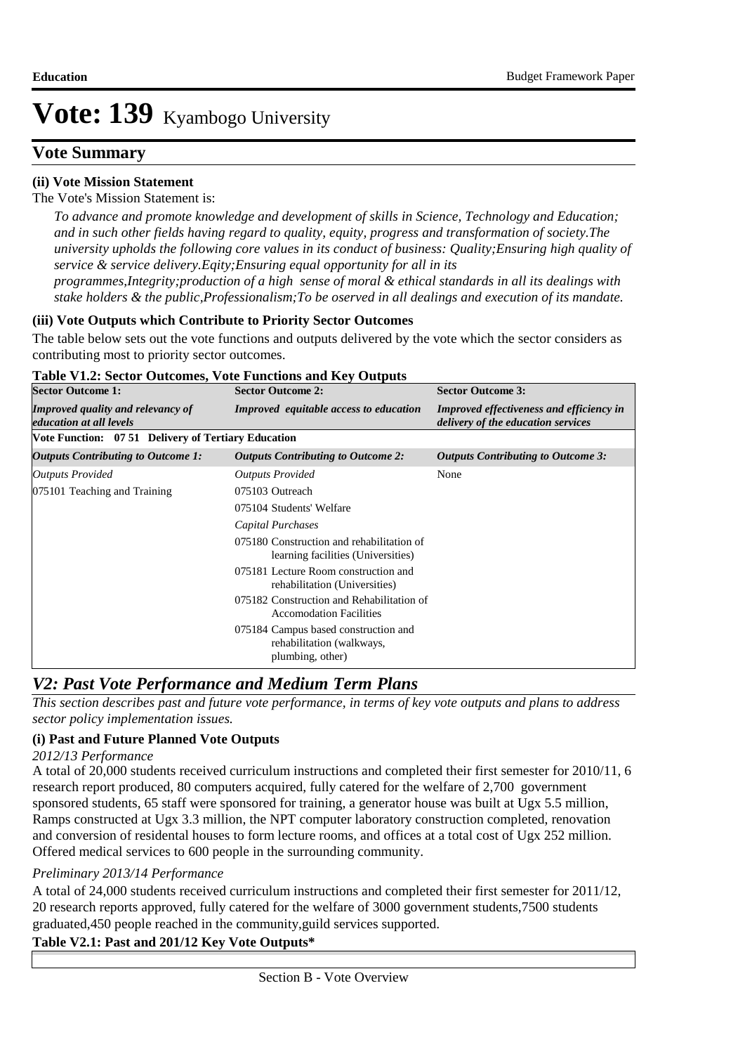## **Vote Summary**

## **(ii) Vote Mission Statement**

The Vote's Mission Statement is:

*To advance and promote knowledge and development of skills in Science, Technology and Education; and in such other fields having regard to quality, equity, progress and transformation of society.The university upholds the following core values in its conduct of business: Quality;Ensuring high quality of service & service delivery.Eqity;Ensuring equal opportunity for all in its* 

*programmes,Integrity;production of a high sense of moral & ethical standards in all its dealings with stake holders & the public,Professionalism;To be oserved in all dealings and execution of its mandate.*

### **(iii) Vote Outputs which Contribute to Priority Sector Outcomes**

The table below sets out the vote functions and outputs delivered by the vote which the sector considers as contributing most to priority sector outcomes.

| <b>Sector Outcome 1:</b>                                                   | <b>Sector Outcome 2:</b>                                                              | <b>Sector Outcome 3:</b>                                                              |
|----------------------------------------------------------------------------|---------------------------------------------------------------------------------------|---------------------------------------------------------------------------------------|
| <b>Improved quality and relevancy of</b><br><i>education at all levels</i> | <b>Improved</b> equitable access to education                                         | <b>Improved effectiveness and efficiency in</b><br>delivery of the education services |
| Vote Function: 07 51 Delivery of Tertiary Education                        |                                                                                       |                                                                                       |
| <b>Outputs Contributing to Outcome 1:</b>                                  | <b>Outputs Contributing to Outcome 2:</b>                                             | <b>Outputs Contributing to Outcome 3:</b>                                             |
| Outputs Provided                                                           | <b>Outputs Provided</b>                                                               | None                                                                                  |
| 075101 Teaching and Training                                               | 075103 Outreach                                                                       |                                                                                       |
|                                                                            | 075104 Students' Welfare                                                              |                                                                                       |
|                                                                            | Capital Purchases                                                                     |                                                                                       |
|                                                                            | 075180 Construction and rehabilitation of<br>learning facilities (Universities)       |                                                                                       |
|                                                                            | 075181 Lecture Room construction and<br>rehabilitation (Universities)                 |                                                                                       |
|                                                                            | 075182 Construction and Rehabilitation of<br><b>Accomodation Facilities</b>           |                                                                                       |
|                                                                            | 075184 Campus based construction and<br>rehabilitation (walkways,<br>plumbing, other) |                                                                                       |

#### **Table V1.2: Sector Outcomes, Vote Functions and Key Outputs**

# *V2: Past Vote Performance and Medium Term Plans*

*This section describes past and future vote performance, in terms of key vote outputs and plans to address sector policy implementation issues.* 

## **(i) Past and Future Planned Vote Outputs**

#### *2012/13 Performance*

A total of 20,000 students received curriculum instructions and completed their first semester for 2010/11, 6 research report produced, 80 computers acquired, fully catered for the welfare of 2,700 government sponsored students, 65 staff were sponsored for training, a generator house was built at Ugx 5.5 million, Ramps constructed at Ugx 3.3 million, the NPT computer laboratory construction completed, renovation and conversion of residental houses to form lecture rooms, and offices at a total cost of Ugx 252 million. Offered medical services to 600 people in the surrounding community.

## *Preliminary 2013/14 Performance*

A total of 24,000 students received curriculum instructions and completed their first semester for 2011/12, 20 research reports approved, fully catered for the welfare of 3000 government students,7500 students graduated,450 people reached in the community,guild services supported.

## **Table V2.1: Past and 201/12 Key Vote Outputs\***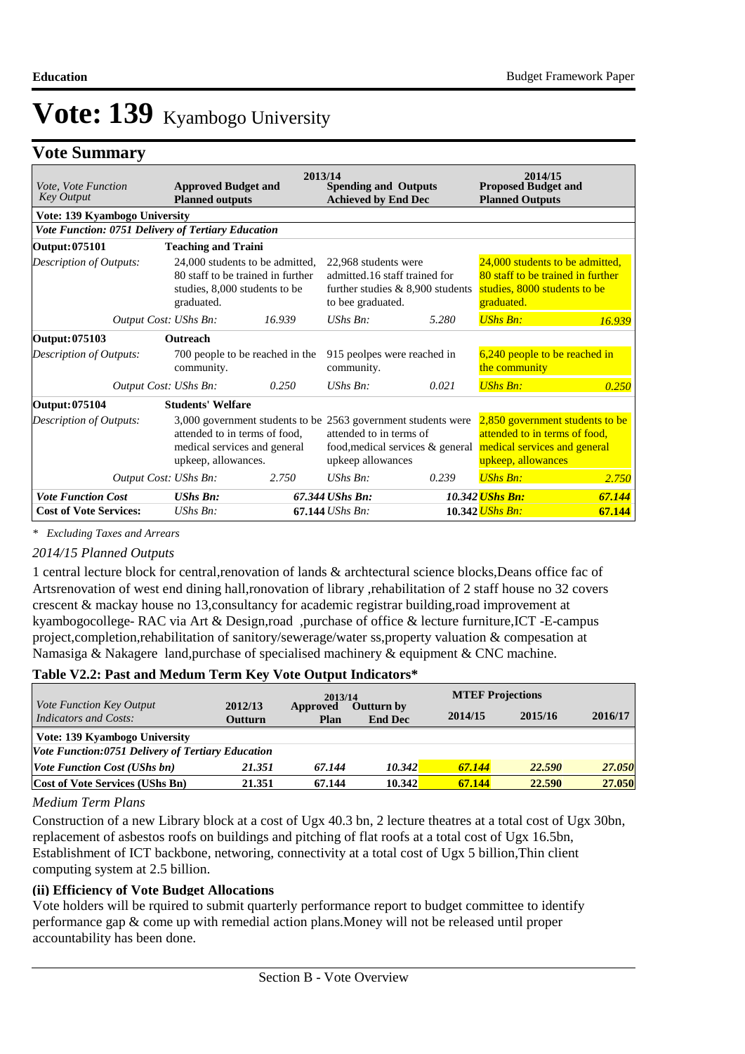## **Vote Summary**

| Vote, Vote Function<br><b>Key Output</b>           | <b>Approved Budget and</b><br><b>Planned outputs</b>                                                                |        | 2013/14<br><b>Spending and Outputs</b><br><b>Achieved by End Dec</b>                                             |                                                                                                      | 2014/15<br><b>Proposed Budget and</b><br><b>Planned Outputs</b>                                                        |        |
|----------------------------------------------------|---------------------------------------------------------------------------------------------------------------------|--------|------------------------------------------------------------------------------------------------------------------|------------------------------------------------------------------------------------------------------|------------------------------------------------------------------------------------------------------------------------|--------|
| Vote: 139 Kyambogo University                      |                                                                                                                     |        |                                                                                                                  |                                                                                                      |                                                                                                                        |        |
| Vote Function: 0751 Delivery of Tertiary Education |                                                                                                                     |        |                                                                                                                  |                                                                                                      |                                                                                                                        |        |
| Output: 075101                                     | <b>Teaching and Traini</b>                                                                                          |        |                                                                                                                  |                                                                                                      |                                                                                                                        |        |
| Description of Outputs:                            | 24,000 students to be admitted,<br>80 staff to be trained in further<br>studies, 8,000 students to be<br>graduated. |        | 22,968 students were<br>admitted.16 staff trained for<br>further studies $& 8,900$ students<br>to bee graduated. |                                                                                                      | 24,000 students to be admitted,<br>80 staff to be trained in further<br>studies, 8000 students to be<br>graduated.     |        |
| Output Cost: UShs Bn:                              |                                                                                                                     | 16.939 | $UShs Bn$ :                                                                                                      | 5.280                                                                                                | <b>UShs Bn:</b>                                                                                                        | 16.939 |
| Output: 075103                                     | <b>Outreach</b>                                                                                                     |        |                                                                                                                  |                                                                                                      |                                                                                                                        |        |
| Description of Outputs:                            | 700 people to be reached in the<br>community.                                                                       |        | 915 peolpes were reached in<br>community.                                                                        |                                                                                                      | $6,240$ people to be reached in<br>the community                                                                       |        |
| Output Cost: UShs Bn:                              |                                                                                                                     | 0.250  | $UShs Bn$ :                                                                                                      | 0.021                                                                                                | <b>UShs Bn:</b>                                                                                                        | 0.250  |
| Output: 075104                                     | <b>Students' Welfare</b>                                                                                            |        |                                                                                                                  |                                                                                                      |                                                                                                                        |        |
| Description of Outputs:                            | attended to in terms of food,<br>medical services and general<br>upkeep, allowances.                                |        | attended to in terms of<br>upkeep allowances                                                                     | 3,000 government students to be 2563 government students were<br>food, medical services $\&$ general | 2,850 government students to be<br>attended to in terms of food,<br>medical services and general<br>upkeep, allowances |        |
| Output Cost: UShs Bn:                              |                                                                                                                     | 2.750  | $UShs$ $Bn$ :                                                                                                    | 0.239                                                                                                | <b>UShs Bn:</b>                                                                                                        | 2.750  |
| <b>Vote Function Cost</b>                          | <b>UShs Bn:</b>                                                                                                     |        | 67.344 UShs Bn:                                                                                                  |                                                                                                      | 10.342 <i>UShs Bn:</i>                                                                                                 | 67.144 |
| <b>Cost of Vote Services:</b>                      | $UShs Bn$ :                                                                                                         |        | $67.144$ UShs Bn:                                                                                                |                                                                                                      | 10.342 <i>UShs Bn:</i>                                                                                                 | 67.144 |

*\* Excluding Taxes and Arrears*

#### *2014/15 Planned Outputs*

1 central lecture block for central,renovation of lands & archtectural science blocks,Deans office fac of Artsrenovation of west end dining hall,ronovation of library ,rehabilitation of 2 staff house no 32 covers crescent & mackay house no 13,consultancy for academic registrar building,road improvement at kyambogocollege- RAC via Art & Design,road ,purchase of office & lecture furniture,ICT -E-campus project,completion,rehabilitation of sanitory/sewerage/water ss,property valuation & compesation at Namasiga & Nakagere land, purchase of specialised machinery & equipment  $&$  CNC machine.

#### **Table V2.2: Past and Medum Term Key Vote Output Indicators\***

|                                                          |                           | 2013/14          |                                     | <b>MTEF Projections</b> |         |         |
|----------------------------------------------------------|---------------------------|------------------|-------------------------------------|-------------------------|---------|---------|
| <i>Vote Function Key Output</i><br>Indicators and Costs: | 2012/13<br><b>Outturn</b> | Approved<br>Plan | <b>Outturn by</b><br><b>End Dec</b> | 2014/15                 | 2015/16 | 2016/17 |
| Vote: 139 Kyambogo University                            |                           |                  |                                     |                         |         |         |
| Vote Function:0751 Delivery of Tertiary Education        |                           |                  |                                     |                         |         |         |
| <i>Vote Function Cost (UShs bn)</i>                      | 21.351                    | 67.144           | 10.342                              | 67.144                  | 22.590  | 27.050  |
| <b>Cost of Vote Services (UShs Bn)</b>                   | 21.351                    | 67.144           | 10.342                              | 67.144                  | 22.590  | 27.050  |

#### *Medium Term Plans*

Construction of a new Library block at a cost of Ugx 40.3 bn, 2 lecture theatres at a total cost of Ugx 30bn, replacement of asbestos roofs on buildings and pitching of flat roofs at a total cost of Ugx 16.5bn, Establishment of ICT backbone, networing, connectivity at a total cost of Ugx 5 billion,Thin client computing system at 2.5 billion.

#### **(ii) Efficiency of Vote Budget Allocations**

Vote holders will be rquired to submit quarterly performance report to budget committee to identify performance gap & come up with remedial action plans.Money will not be released until proper accountability has been done.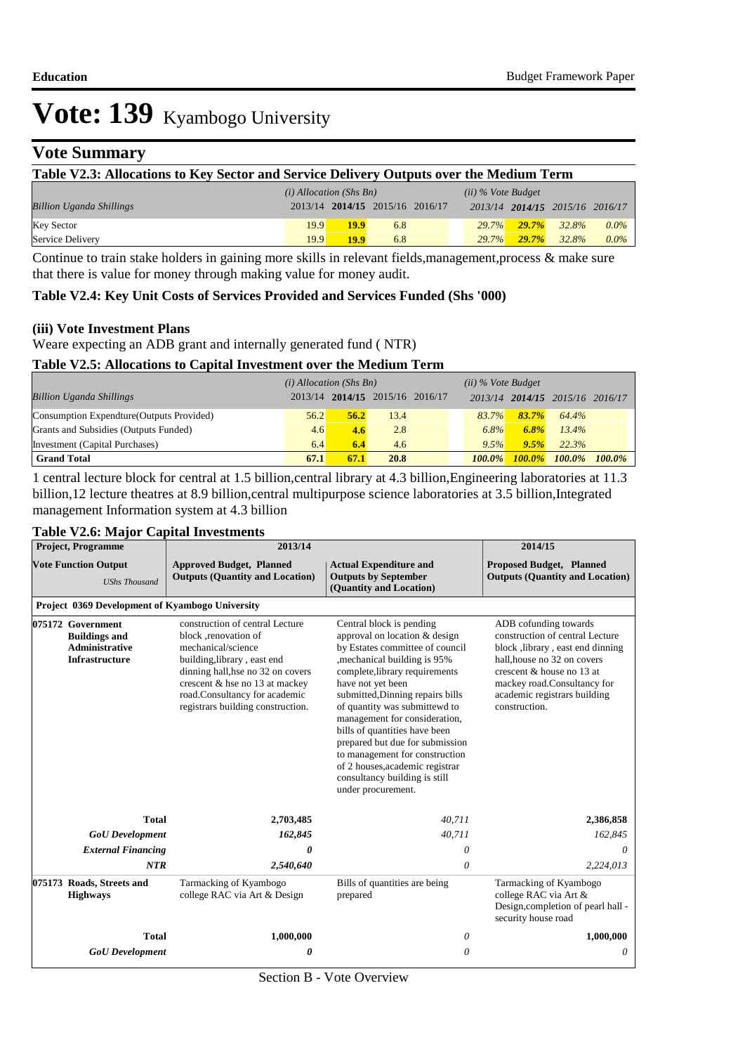# **Vote Summary**

| Table V2.3: Allocations to Key Sector and Service Delivery Outputs over the Medium Term |      |                                 |     |  |          |          |                                 |         |
|-----------------------------------------------------------------------------------------|------|---------------------------------|-----|--|----------|----------|---------------------------------|---------|
| $(i)$ Allocation (Shs Bn)<br>$(ii)$ % Vote Budget                                       |      |                                 |     |  |          |          |                                 |         |
| <b>Billion Uganda Shillings</b>                                                         |      | 2013/14 2014/15 2015/16 2016/17 |     |  |          |          | 2013/14 2014/15 2015/16 2016/17 |         |
| <b>Key Sector</b>                                                                       | 19.9 | <b>19.9</b>                     | 6.8 |  | $29.7\%$ | $29.7\%$ | 32.8%                           | $0.0\%$ |
| Service Delivery                                                                        | 19.9 | <b>19.9</b>                     | 6.8 |  | 29.7%    | 29.7%    | 32.8%                           | $0.0\%$ |

Continue to train stake holders in gaining more skills in relevant fields, management, process & make sure that there is value for money through making value for money audit.

#### **Table V2.4: Key Unit Costs of Services Provided and Services Funded (Shs '000)**

#### **(iii) Vote Investment Plans**

Weare expecting an ADB grant and internally generated fund ( NTR)

#### **Table V2.5: Allocations to Capital Investment over the Medium Term**

|                                           | $(i)$ Allocation (Shs Bn) |      |                           | $(ii)$ % Vote Budget |           |                         |           |
|-------------------------------------------|---------------------------|------|---------------------------|----------------------|-----------|-------------------------|-----------|
| <b>Billion Uganda Shillings</b>           | 2013/14                   |      | $2014/15$ 2015/16 2016/17 | 2013/14              |           | 2014/15 2015/16 2016/17 |           |
| Consumption Expendture (Outputs Provided) | 56.2                      | 56.2 | 13.4                      | 83.7%                | $83.7\%$  | 64.4%                   |           |
| Grants and Subsidies (Outputs Funded)     | 4.6                       | 4.6  | 2.8                       | 6.8%                 | 6.8%      | $13.4\%$                |           |
| Investment (Capital Purchases)            | 6.4                       | 6.4  | 4.6                       | 9.5%                 | 9.5%      | 22.3%                   |           |
| <b>Grand Total</b>                        | 67.1                      | 67.1 | 20.8                      | $100.0\%$            | $100.0\%$ | $100.0\%$               | $100.0\%$ |

1 central lecture block for central at 1.5 billion,central library at 4.3 billion,Engineering laboratories at 11.3 billion,12 lecture theatres at 8.9 billion,central multipurpose science laboratories at 3.5 billion,Integrated management Information system at 4.3 billion

### **Table V2.6: Major Capital Investments**

| <b>Project, Programme</b><br><b>Vote Function Output</b><br><b>UShs Thousand</b>            |                                                 | 2013/14                                                                                                                                                                                                                                                                                                                                                                                                                                                                                                                                                                                                                                                                                                                                                                  |                                                                           | 2014/15                                                                                                                                                                                                                 |
|---------------------------------------------------------------------------------------------|-------------------------------------------------|--------------------------------------------------------------------------------------------------------------------------------------------------------------------------------------------------------------------------------------------------------------------------------------------------------------------------------------------------------------------------------------------------------------------------------------------------------------------------------------------------------------------------------------------------------------------------------------------------------------------------------------------------------------------------------------------------------------------------------------------------------------------------|---------------------------------------------------------------------------|-------------------------------------------------------------------------------------------------------------------------------------------------------------------------------------------------------------------------|
|                                                                                             |                                                 | <b>Approved Budget, Planned</b><br><b>Outputs (Quantity and Location)</b>                                                                                                                                                                                                                                                                                                                                                                                                                                                                                                                                                                                                                                                                                                | <b>Proposed Budget, Planned</b><br><b>Outputs (Quantity and Location)</b> |                                                                                                                                                                                                                         |
|                                                                                             | Project 0369 Development of Kyambogo University |                                                                                                                                                                                                                                                                                                                                                                                                                                                                                                                                                                                                                                                                                                                                                                          |                                                                           |                                                                                                                                                                                                                         |
| 075172 Government<br><b>Buildings and</b><br><b>Administrative</b><br><b>Infrastructure</b> |                                                 | construction of central Lecture<br>Central block is pending<br>approval on location & design<br>block , renovation of<br>by Estates committee of council<br>mechanical/science<br>, mechanical building is 95%<br>building, library, east end<br>complete, library requirements<br>dinning hall, hse no 32 on covers<br>crescent & hse no 13 at mackey<br>have not yet been<br>road.Consultancy for academic<br>submitted, Dinning repairs bills<br>registrars building construction.<br>of quantity was submittewd to<br>construction.<br>management for consideration,<br>bills of quantities have been<br>prepared but due for submission<br>to management for construction<br>of 2 houses, academic registrar<br>consultancy building is still<br>under procurement. |                                                                           | ADB cofunding towards<br>construction of central Lecture<br>block ,library, east end dinning<br>hall, house no 32 on covers<br>crescent & house no 13 at<br>mackey road.Consultancy for<br>academic registrars building |
|                                                                                             | <b>Total</b>                                    | 2,703,485                                                                                                                                                                                                                                                                                                                                                                                                                                                                                                                                                                                                                                                                                                                                                                | 40,711                                                                    | 2,386,858                                                                                                                                                                                                               |
|                                                                                             | <b>GoU</b> Development                          | 162,845                                                                                                                                                                                                                                                                                                                                                                                                                                                                                                                                                                                                                                                                                                                                                                  | 40,711                                                                    | 162,845                                                                                                                                                                                                                 |
|                                                                                             | <b>External Financing</b>                       | 0                                                                                                                                                                                                                                                                                                                                                                                                                                                                                                                                                                                                                                                                                                                                                                        | $\theta$                                                                  | $\theta$                                                                                                                                                                                                                |
|                                                                                             | NTR                                             | 2,540,640                                                                                                                                                                                                                                                                                                                                                                                                                                                                                                                                                                                                                                                                                                                                                                | $\theta$                                                                  | 2,224,013                                                                                                                                                                                                               |
|                                                                                             | 075173 Roads, Streets and<br><b>Highways</b>    | Tarmacking of Kyambogo<br>college RAC via Art & Design                                                                                                                                                                                                                                                                                                                                                                                                                                                                                                                                                                                                                                                                                                                   | Bills of quantities are being<br>prepared                                 | Tarmacking of Kyambogo<br>college RAC via Art &<br>Design, completion of pearl hall -<br>security house road                                                                                                            |
|                                                                                             | <b>Total</b>                                    | 1,000,000                                                                                                                                                                                                                                                                                                                                                                                                                                                                                                                                                                                                                                                                                                                                                                | 0                                                                         | 1,000,000                                                                                                                                                                                                               |
|                                                                                             | <b>GoU</b> Development                          | 0                                                                                                                                                                                                                                                                                                                                                                                                                                                                                                                                                                                                                                                                                                                                                                        | $\theta$                                                                  | 0                                                                                                                                                                                                                       |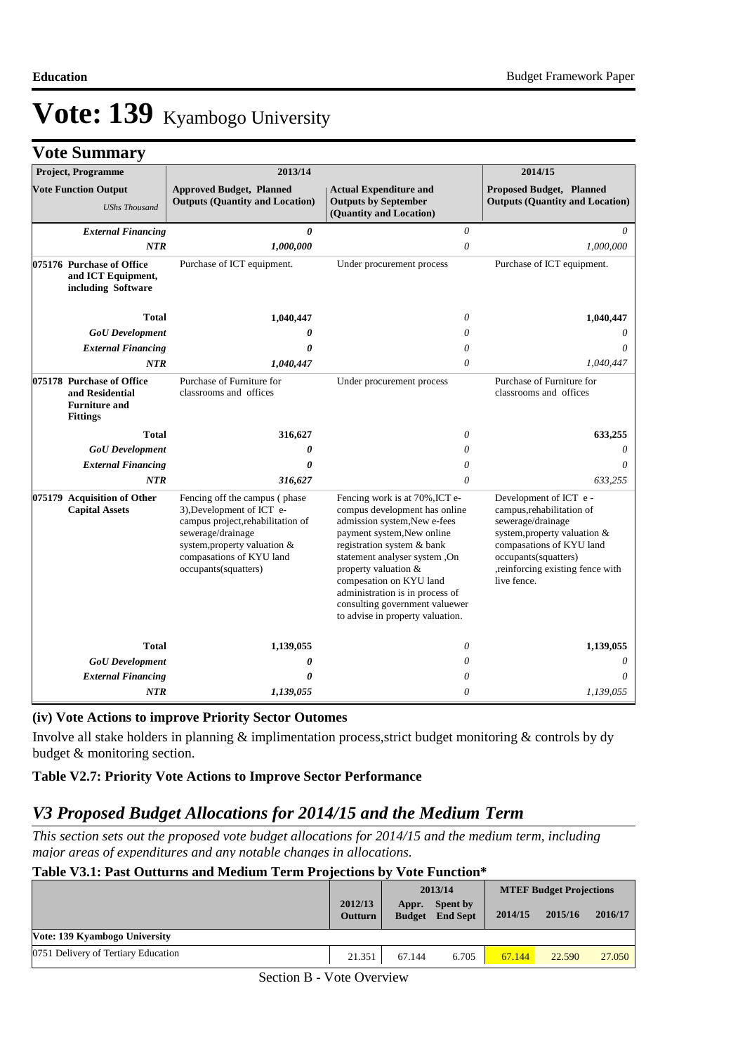|  | <b>Vote Summary</b> |  |
|--|---------------------|--|
|--|---------------------|--|

| <b>Project, Programme</b>                                                               | 2013/14                                                                                                                                                                                                   |                                                                                                                                                                                                                                                                                                                                                          | 2014/15                                                                                                                                                                                                          |
|-----------------------------------------------------------------------------------------|-----------------------------------------------------------------------------------------------------------------------------------------------------------------------------------------------------------|----------------------------------------------------------------------------------------------------------------------------------------------------------------------------------------------------------------------------------------------------------------------------------------------------------------------------------------------------------|------------------------------------------------------------------------------------------------------------------------------------------------------------------------------------------------------------------|
| <b>Vote Function Output</b><br><b>UShs Thousand</b>                                     | <b>Approved Budget, Planned</b><br><b>Outputs (Quantity and Location)</b>                                                                                                                                 | <b>Actual Expenditure and</b><br><b>Outputs by September</b><br>(Quantity and Location)                                                                                                                                                                                                                                                                  | <b>Proposed Budget, Planned</b><br><b>Outputs (Quantity and Location)</b>                                                                                                                                        |
| <b>External Financing</b>                                                               | 0                                                                                                                                                                                                         | 0                                                                                                                                                                                                                                                                                                                                                        | 0                                                                                                                                                                                                                |
| <b>NTR</b>                                                                              | 1,000,000                                                                                                                                                                                                 | $\theta$                                                                                                                                                                                                                                                                                                                                                 | 1,000,000                                                                                                                                                                                                        |
| 075176 Purchase of Office<br>and ICT Equipment,<br>including Software                   | Purchase of ICT equipment.                                                                                                                                                                                | Under procurement process                                                                                                                                                                                                                                                                                                                                | Purchase of ICT equipment.                                                                                                                                                                                       |
| <b>Total</b>                                                                            | 1,040,447                                                                                                                                                                                                 | $\theta$                                                                                                                                                                                                                                                                                                                                                 | 1,040,447                                                                                                                                                                                                        |
| <b>GoU</b> Development                                                                  | 0                                                                                                                                                                                                         | $\theta$                                                                                                                                                                                                                                                                                                                                                 | 0                                                                                                                                                                                                                |
| <b>External Financing</b>                                                               | 0                                                                                                                                                                                                         | $\theta$                                                                                                                                                                                                                                                                                                                                                 | 0                                                                                                                                                                                                                |
| <b>NTR</b>                                                                              | 1,040,447                                                                                                                                                                                                 | $\theta$                                                                                                                                                                                                                                                                                                                                                 | 1,040,447                                                                                                                                                                                                        |
| 075178 Purchase of Office<br>and Residential<br><b>Furniture and</b><br><b>Fittings</b> | Purchase of Furniture for<br>classrooms and offices                                                                                                                                                       | Under procurement process                                                                                                                                                                                                                                                                                                                                | Purchase of Furniture for<br>classrooms and offices                                                                                                                                                              |
| <b>Total</b>                                                                            | 316,627                                                                                                                                                                                                   | $\theta$                                                                                                                                                                                                                                                                                                                                                 | 633,255                                                                                                                                                                                                          |
| <b>GoU</b> Development                                                                  | 0                                                                                                                                                                                                         | $\theta$                                                                                                                                                                                                                                                                                                                                                 | 0                                                                                                                                                                                                                |
| <b>External Financing</b>                                                               | $\boldsymbol{\theta}$                                                                                                                                                                                     | $\theta$                                                                                                                                                                                                                                                                                                                                                 | 0                                                                                                                                                                                                                |
| <b>NTR</b>                                                                              | 316,627                                                                                                                                                                                                   | $\theta$                                                                                                                                                                                                                                                                                                                                                 | 633,255                                                                                                                                                                                                          |
| 075179 Acquisition of Other<br><b>Capital Assets</b>                                    | Fencing off the campus (phase)<br>3), Development of ICT e-<br>campus project, rehabilitation of<br>sewerage/drainage<br>system, property valuation &<br>compasations of KYU land<br>occupants(squatters) | Fencing work is at 70%, ICT e-<br>compus development has online<br>admission system, New e-fees<br>payment system, New online<br>registration system & bank<br>statement analyser system, On<br>property valuation &<br>compesation on KYU land<br>administration is in process of<br>consulting government valuewer<br>to advise in property valuation. | Development of ICT e -<br>campus, rehabilitation of<br>sewerage/drainage<br>system, property valuation &<br>compasations of KYU land<br>occupants(squatters)<br>, reinforcing existing fence with<br>live fence. |
| <b>Total</b>                                                                            | 1,139,055                                                                                                                                                                                                 | $\theta$                                                                                                                                                                                                                                                                                                                                                 | 1,139,055                                                                                                                                                                                                        |
| <b>GoU</b> Development                                                                  | 0                                                                                                                                                                                                         | 0                                                                                                                                                                                                                                                                                                                                                        | 0                                                                                                                                                                                                                |
| <b>External Financing</b>                                                               | 0                                                                                                                                                                                                         | $\theta$                                                                                                                                                                                                                                                                                                                                                 | $\theta$                                                                                                                                                                                                         |
| <b>NTR</b>                                                                              | 1,139,055                                                                                                                                                                                                 | $\theta$                                                                                                                                                                                                                                                                                                                                                 | 1,139,055                                                                                                                                                                                                        |

## **(iv) Vote Actions to improve Priority Sector Outomes**

Involve all stake holders in planning & implimentation process,strict budget monitoring & controls by dy budget & monitoring section.

### **Table V2.7: Priority Vote Actions to Improve Sector Performance**

## *V3 Proposed Budget Allocations for 2014/15 and the Medium Term*

*This section sets out the proposed vote budget allocations for 2014/15 and the medium term, including major areas of expenditures and any notable changes in allocations.* 

#### **Table V3.1: Past Outturns and Medium Term Projections by Vote Function\***

|                                     |                           |        | 2013/14                                   | <b>MTEF Budget Projections</b> |         |         |
|-------------------------------------|---------------------------|--------|-------------------------------------------|--------------------------------|---------|---------|
|                                     | 2012/13<br><b>Outturn</b> | Appr.  | <b>Spent by</b><br><b>Budget</b> End Sept | 2014/15                        | 2015/16 | 2016/17 |
| Vote: 139 Kyambogo University       |                           |        |                                           |                                |         |         |
| 0751 Delivery of Tertiary Education | 21.351                    | 67.144 | 6.705                                     | 67.144                         | 22.590  | 27,050  |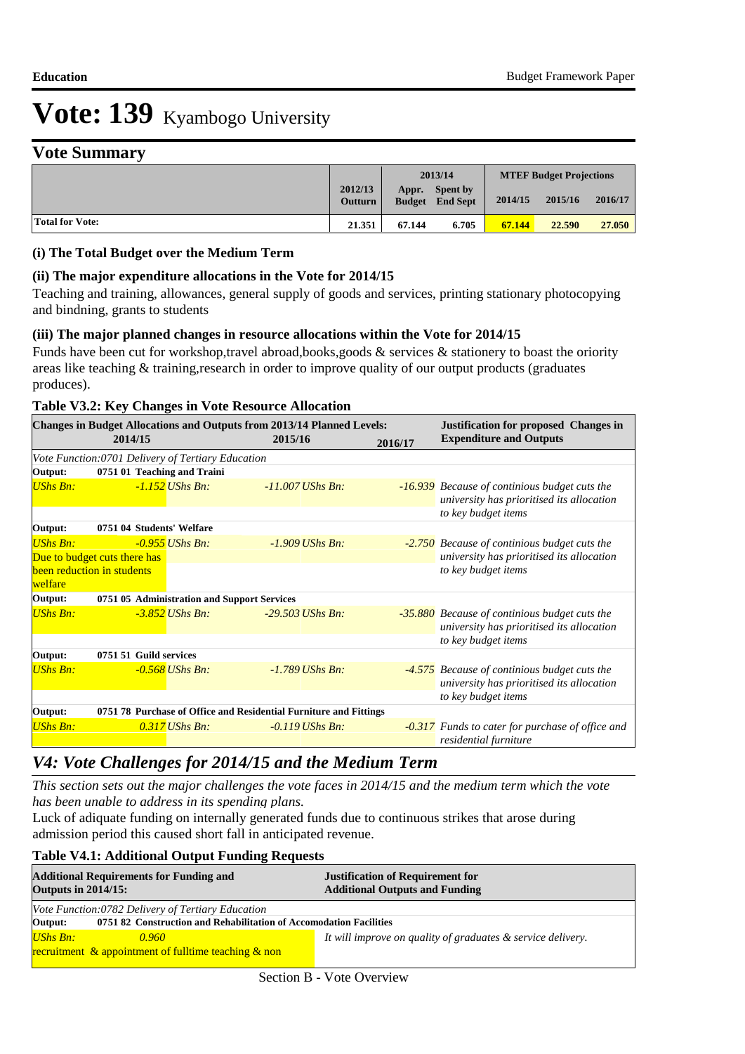# **Vote Summary**

|                 |                           |        | 2013/14                                   |         | <b>MTEF Budget Projections</b> |         |
|-----------------|---------------------------|--------|-------------------------------------------|---------|--------------------------------|---------|
|                 | 2012/13<br><b>Outturn</b> | Appr.  | <b>Spent by</b><br><b>Budget</b> End Sept | 2014/15 | 2015/16                        | 2016/17 |
| Total for Vote: | 21.351                    | 67.144 | 6.705                                     | 67.144  | 22.590                         | 27,050  |

#### **(i) The Total Budget over the Medium Term**

#### **(ii) The major expenditure allocations in the Vote for 2014/15**

Teaching and training, allowances, general supply of goods and services, printing stationary photocopying and bindning, grants to students

#### **(iii) The major planned changes in resource allocations within the Vote for 2014/15**

Funds have been cut for workshop,travel abroad,books,goods & services & stationery to boast the oriority areas like teaching & training,research in order to improve quality of our output products (graduates produces).

#### **Table V3.2: Key Changes in Vote Resource Allocation**

|                 |                                                    |                   | <b>Changes in Budget Allocations and Outputs from 2013/14 Planned Levels:</b> |         | <b>Justification for proposed Changes in</b>                                                      |  |  |
|-----------------|----------------------------------------------------|-------------------|-------------------------------------------------------------------------------|---------|---------------------------------------------------------------------------------------------------|--|--|
| 2014/15         |                                                    |                   | 2015/16                                                                       | 2016/17 | <b>Expenditure and Outputs</b>                                                                    |  |  |
|                 | Vote Function: 0701 Delivery of Tertiary Education |                   |                                                                               |         |                                                                                                   |  |  |
| Output:         | 0751 01 Teaching and Traini                        |                   |                                                                               |         |                                                                                                   |  |  |
| UShs Bn:        |                                                    | $-1.152$ UShs Bn: | $-11.007$ UShs Bn:                                                            |         | <b>-16.939</b> Because of continious budget cuts the<br>university has prioritised its allocation |  |  |
|                 |                                                    |                   |                                                                               |         | to key budget items                                                                               |  |  |
| Output:         | 0751 04 Students' Welfare                          |                   |                                                                               |         |                                                                                                   |  |  |
| UShs Bn:        |                                                    | $-0.955$ UShs Bn: | $-1.909$ UShs Bn:                                                             |         | -2.750 Because of continious budget cuts the                                                      |  |  |
|                 | Due to budget cuts there has                       |                   |                                                                               |         | university has prioritised its allocation                                                         |  |  |
|                 | been reduction in students                         |                   |                                                                               |         | to key budget items                                                                               |  |  |
| welfare         |                                                    |                   |                                                                               |         |                                                                                                   |  |  |
| Output:         | 0751 05 Administration and Support Services        |                   |                                                                               |         |                                                                                                   |  |  |
| <b>UShs Bn:</b> |                                                    | -3.852 UShs Bn:   | $-29.503$ UShs Bn:                                                            |         | -35.880 Because of continious budget cuts the<br>university has prioritised its allocation        |  |  |
|                 |                                                    |                   |                                                                               |         | to key budget items                                                                               |  |  |
| Output:         | 0751 51 Guild services                             |                   |                                                                               |         |                                                                                                   |  |  |
| UShs Bn:        |                                                    | $-0.568$ UShs Bn: | $-1.789$ UShs Bn:                                                             |         | -4.575 Because of continious budget cuts the<br>university has prioritised its allocation         |  |  |
|                 |                                                    |                   |                                                                               |         | to key budget items                                                                               |  |  |
| Output:         |                                                    |                   | 0751 78 Purchase of Office and Residential Furniture and Fittings             |         |                                                                                                   |  |  |
| UShs Bn:        |                                                    | $0.317$ UShs Bn:  | $-0.119$ UShs Bn:                                                             |         | -0.317 Funds to cater for purchase of office and<br>residential furniture                         |  |  |

## *V4: Vote Challenges for 2014/15 and the Medium Term*

*This section sets out the major challenges the vote faces in 2014/15 and the medium term which the vote has been unable to address in its spending plans.*

Luck of adiquate funding on internally generated funds due to continuous strikes that arose during admission period this caused short fall in anticipated revenue.

#### **Table V4.1: Additional Output Funding Requests**

| <b>Outputs in 2014/15:</b> | <b>Additional Requirements for Funding and</b>                     | <b>Justification of Requirement for</b><br><b>Additional Outputs and Funding</b> |
|----------------------------|--------------------------------------------------------------------|----------------------------------------------------------------------------------|
|                            | Vote Function: 0782 Delivery of Tertiary Education                 |                                                                                  |
| Output:                    | 0751 82 Construction and Rehabilitation of Accomodation Facilities |                                                                                  |
| UShs Bn:                   | 0.960                                                              | It will improve on quality of graduates & service delivery.                      |
|                            | recruitment $\&$ appointment of fulltime teaching $\&$ non         |                                                                                  |